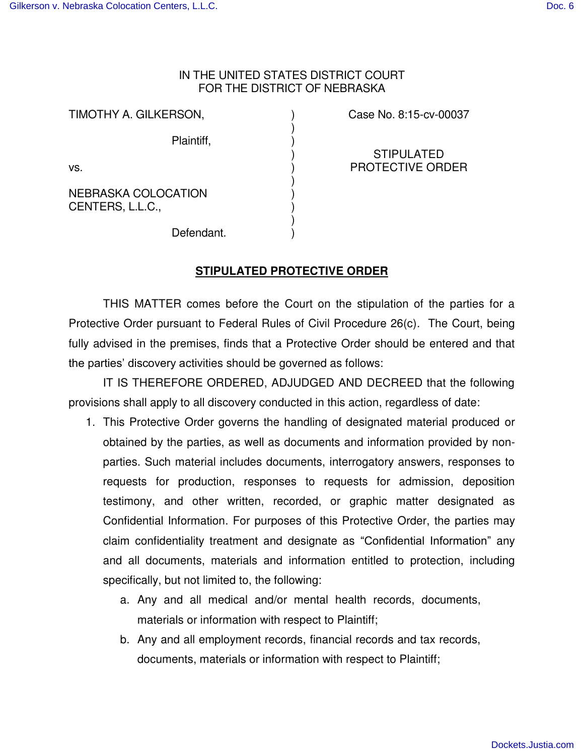## IN THE UNITED STATES DISTRICT COURT FOR THE DISTRICT OF NEBRASKA

) ) ) ) ) ) ) ) ) )

TIMOTHY A. GILKERSON,

Plaintiff,

vs.

NEBRASKA COLOCATION CENTERS, L.L.C.,

Case No. 8:15-cv-00037

STIPULATED PROTECTIVE ORDER

Defendant.

## **STIPULATED PROTECTIVE ORDER**

 THIS MATTER comes before the Court on the stipulation of the parties for a Protective Order pursuant to Federal Rules of Civil Procedure 26(c). The Court, being fully advised in the premises, finds that a Protective Order should be entered and that the parties' discovery activities should be governed as follows:

 IT IS THEREFORE ORDERED, ADJUDGED AND DECREED that the following provisions shall apply to all discovery conducted in this action, regardless of date:

- 1. This Protective Order governs the handling of designated material produced or obtained by the parties, as well as documents and information provided by nonparties. Such material includes documents, interrogatory answers, responses to requests for production, responses to requests for admission, deposition testimony, and other written, recorded, or graphic matter designated as Confidential Information. For purposes of this Protective Order, the parties may claim confidentiality treatment and designate as "Confidential Information" any and all documents, materials and information entitled to protection, including specifically, but not limited to, the following:
	- a. Any and all medical and/or mental health records, documents, materials or information with respect to Plaintiff;
	- b. Any and all employment records, financial records and tax records, documents, materials or information with respect to Plaintiff;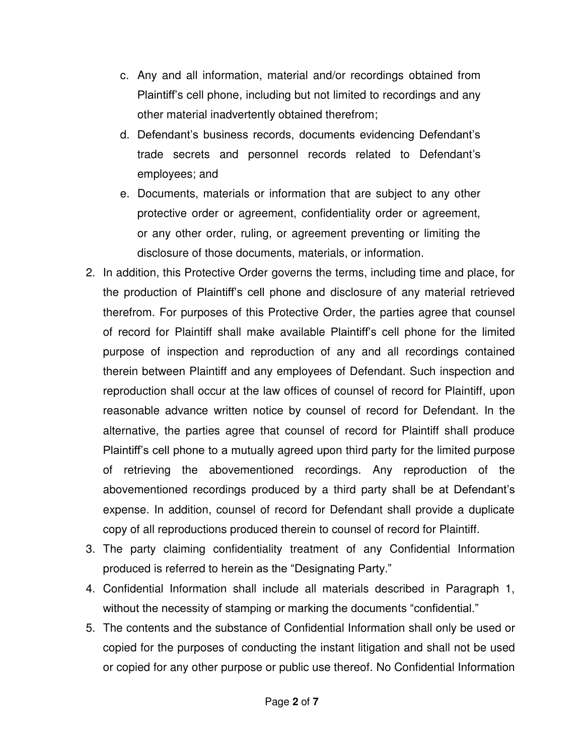- c. Any and all information, material and/or recordings obtained from Plaintiff's cell phone, including but not limited to recordings and any other material inadvertently obtained therefrom;
- d. Defendant's business records, documents evidencing Defendant's trade secrets and personnel records related to Defendant's employees; and
- e. Documents, materials or information that are subject to any other protective order or agreement, confidentiality order or agreement, or any other order, ruling, or agreement preventing or limiting the disclosure of those documents, materials, or information.
- 2. In addition, this Protective Order governs the terms, including time and place, for the production of Plaintiff's cell phone and disclosure of any material retrieved therefrom. For purposes of this Protective Order, the parties agree that counsel of record for Plaintiff shall make available Plaintiff's cell phone for the limited purpose of inspection and reproduction of any and all recordings contained therein between Plaintiff and any employees of Defendant. Such inspection and reproduction shall occur at the law offices of counsel of record for Plaintiff, upon reasonable advance written notice by counsel of record for Defendant. In the alternative, the parties agree that counsel of record for Plaintiff shall produce Plaintiff's cell phone to a mutually agreed upon third party for the limited purpose of retrieving the abovementioned recordings. Any reproduction of the abovementioned recordings produced by a third party shall be at Defendant's expense. In addition, counsel of record for Defendant shall provide a duplicate copy of all reproductions produced therein to counsel of record for Plaintiff.
- 3. The party claiming confidentiality treatment of any Confidential Information produced is referred to herein as the "Designating Party."
- 4. Confidential Information shall include all materials described in Paragraph 1, without the necessity of stamping or marking the documents "confidential."
- 5. The contents and the substance of Confidential Information shall only be used or copied for the purposes of conducting the instant litigation and shall not be used or copied for any other purpose or public use thereof. No Confidential Information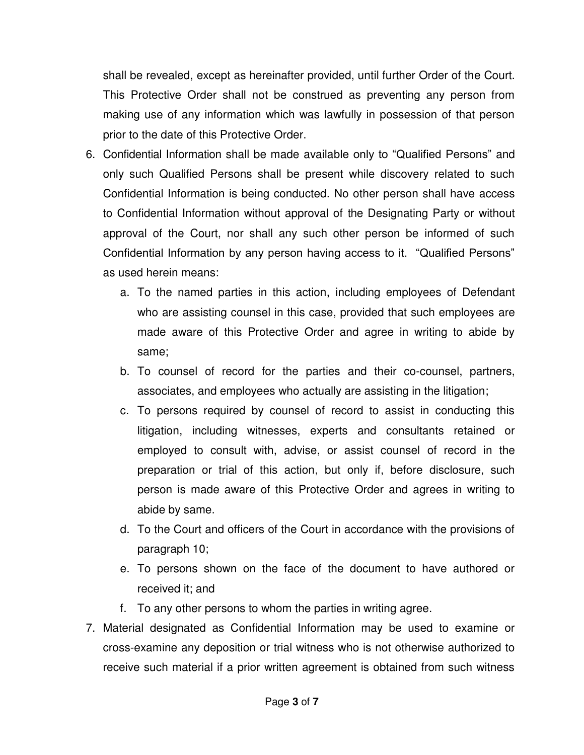shall be revealed, except as hereinafter provided, until further Order of the Court. This Protective Order shall not be construed as preventing any person from making use of any information which was lawfully in possession of that person prior to the date of this Protective Order.

- 6. Confidential Information shall be made available only to "Qualified Persons" and only such Qualified Persons shall be present while discovery related to such Confidential Information is being conducted. No other person shall have access to Confidential Information without approval of the Designating Party or without approval of the Court, nor shall any such other person be informed of such Confidential Information by any person having access to it. "Qualified Persons" as used herein means:
	- a. To the named parties in this action, including employees of Defendant who are assisting counsel in this case, provided that such employees are made aware of this Protective Order and agree in writing to abide by same;
	- b. To counsel of record for the parties and their co-counsel, partners, associates, and employees who actually are assisting in the litigation;
	- c. To persons required by counsel of record to assist in conducting this litigation, including witnesses, experts and consultants retained or employed to consult with, advise, or assist counsel of record in the preparation or trial of this action, but only if, before disclosure, such person is made aware of this Protective Order and agrees in writing to abide by same.
	- d. To the Court and officers of the Court in accordance with the provisions of paragraph 10;
	- e. To persons shown on the face of the document to have authored or received it; and
	- f. To any other persons to whom the parties in writing agree.
- 7. Material designated as Confidential Information may be used to examine or cross-examine any deposition or trial witness who is not otherwise authorized to receive such material if a prior written agreement is obtained from such witness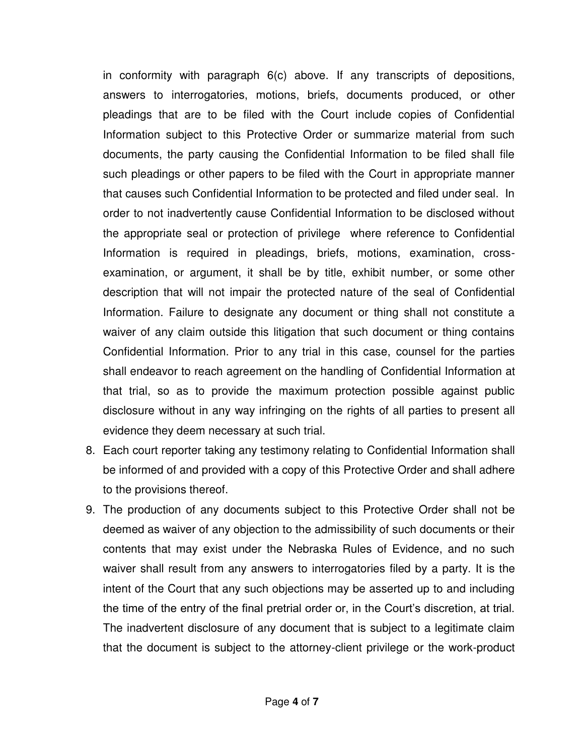in conformity with paragraph 6(c) above. If any transcripts of depositions, answers to interrogatories, motions, briefs, documents produced, or other pleadings that are to be filed with the Court include copies of Confidential Information subject to this Protective Order or summarize material from such documents, the party causing the Confidential Information to be filed shall file such pleadings or other papers to be filed with the Court in appropriate manner that causes such Confidential Information to be protected and filed under seal. In order to not inadvertently cause Confidential Information to be disclosed without the appropriate seal or protection of privilege where reference to Confidential Information is required in pleadings, briefs, motions, examination, crossexamination, or argument, it shall be by title, exhibit number, or some other description that will not impair the protected nature of the seal of Confidential Information. Failure to designate any document or thing shall not constitute a waiver of any claim outside this litigation that such document or thing contains Confidential Information. Prior to any trial in this case, counsel for the parties shall endeavor to reach agreement on the handling of Confidential Information at that trial, so as to provide the maximum protection possible against public disclosure without in any way infringing on the rights of all parties to present all evidence they deem necessary at such trial.

- 8. Each court reporter taking any testimony relating to Confidential Information shall be informed of and provided with a copy of this Protective Order and shall adhere to the provisions thereof.
- 9. The production of any documents subject to this Protective Order shall not be deemed as waiver of any objection to the admissibility of such documents or their contents that may exist under the Nebraska Rules of Evidence, and no such waiver shall result from any answers to interrogatories filed by a party. It is the intent of the Court that any such objections may be asserted up to and including the time of the entry of the final pretrial order or, in the Court's discretion, at trial. The inadvertent disclosure of any document that is subject to a legitimate claim that the document is subject to the attorney-client privilege or the work-product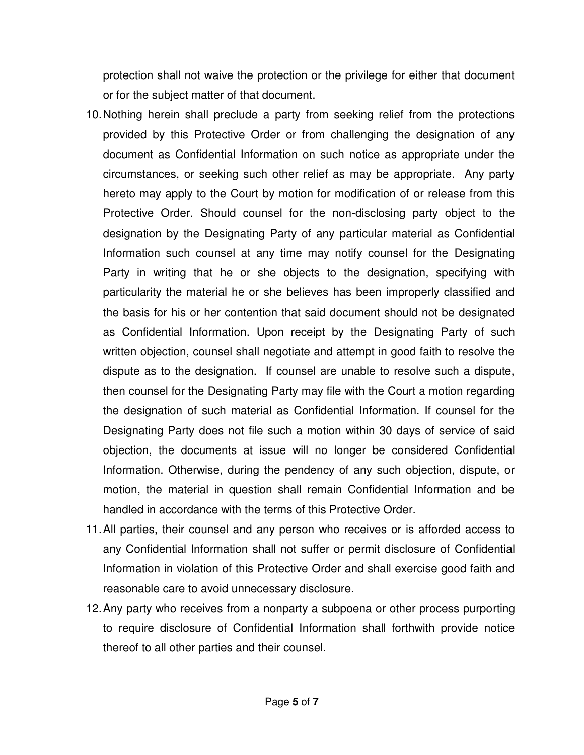protection shall not waive the protection or the privilege for either that document or for the subject matter of that document.

- 10. Nothing herein shall preclude a party from seeking relief from the protections provided by this Protective Order or from challenging the designation of any document as Confidential Information on such notice as appropriate under the circumstances, or seeking such other relief as may be appropriate. Any party hereto may apply to the Court by motion for modification of or release from this Protective Order. Should counsel for the non-disclosing party object to the designation by the Designating Party of any particular material as Confidential Information such counsel at any time may notify counsel for the Designating Party in writing that he or she objects to the designation, specifying with particularity the material he or she believes has been improperly classified and the basis for his or her contention that said document should not be designated as Confidential Information. Upon receipt by the Designating Party of such written objection, counsel shall negotiate and attempt in good faith to resolve the dispute as to the designation. If counsel are unable to resolve such a dispute, then counsel for the Designating Party may file with the Court a motion regarding the designation of such material as Confidential Information. If counsel for the Designating Party does not file such a motion within 30 days of service of said objection, the documents at issue will no longer be considered Confidential Information. Otherwise, during the pendency of any such objection, dispute, or motion, the material in question shall remain Confidential Information and be handled in accordance with the terms of this Protective Order.
- 11. All parties, their counsel and any person who receives or is afforded access to any Confidential Information shall not suffer or permit disclosure of Confidential Information in violation of this Protective Order and shall exercise good faith and reasonable care to avoid unnecessary disclosure.
- 12. Any party who receives from a nonparty a subpoena or other process purporting to require disclosure of Confidential Information shall forthwith provide notice thereof to all other parties and their counsel.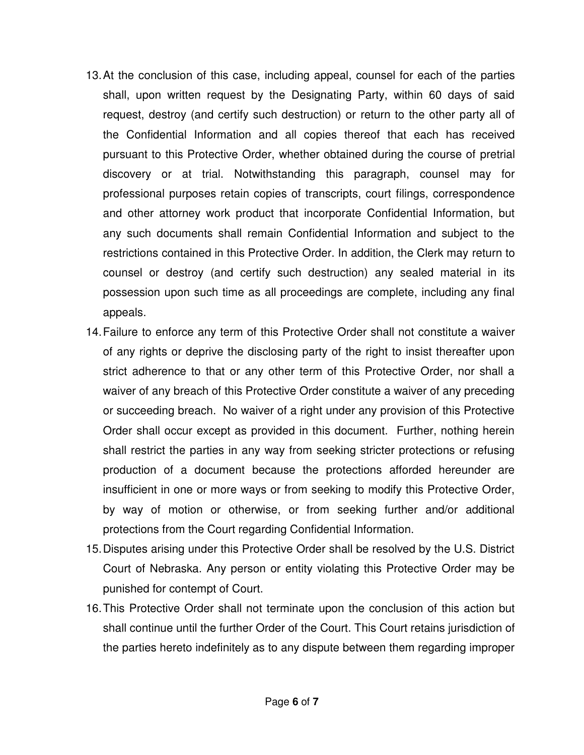- 13. At the conclusion of this case, including appeal, counsel for each of the parties shall, upon written request by the Designating Party, within 60 days of said request, destroy (and certify such destruction) or return to the other party all of the Confidential Information and all copies thereof that each has received pursuant to this Protective Order, whether obtained during the course of pretrial discovery or at trial. Notwithstanding this paragraph, counsel may for professional purposes retain copies of transcripts, court filings, correspondence and other attorney work product that incorporate Confidential Information, but any such documents shall remain Confidential Information and subject to the restrictions contained in this Protective Order. In addition, the Clerk may return to counsel or destroy (and certify such destruction) any sealed material in its possession upon such time as all proceedings are complete, including any final appeals.
- 14. Failure to enforce any term of this Protective Order shall not constitute a waiver of any rights or deprive the disclosing party of the right to insist thereafter upon strict adherence to that or any other term of this Protective Order, nor shall a waiver of any breach of this Protective Order constitute a waiver of any preceding or succeeding breach. No waiver of a right under any provision of this Protective Order shall occur except as provided in this document. Further, nothing herein shall restrict the parties in any way from seeking stricter protections or refusing production of a document because the protections afforded hereunder are insufficient in one or more ways or from seeking to modify this Protective Order, by way of motion or otherwise, or from seeking further and/or additional protections from the Court regarding Confidential Information.
- 15. Disputes arising under this Protective Order shall be resolved by the U.S. District Court of Nebraska. Any person or entity violating this Protective Order may be punished for contempt of Court.
- 16. This Protective Order shall not terminate upon the conclusion of this action but shall continue until the further Order of the Court. This Court retains jurisdiction of the parties hereto indefinitely as to any dispute between them regarding improper